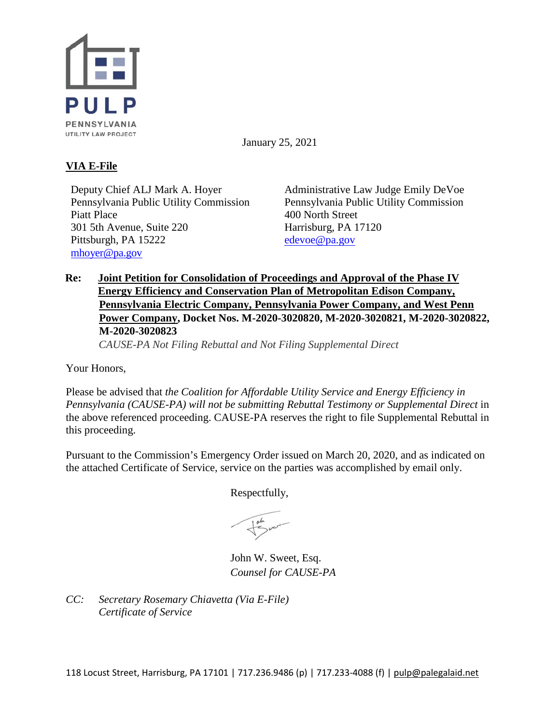

January 25, 2021

# **VIA E-File**

Deputy Chief ALJ Mark A. Hoyer Pennsylvania Public Utility Commission Piatt Place 301 5th Avenue, Suite 220 Pittsburgh, PA 15222 [mhoyer@pa.gov](mailto:mhoyer@pa.gov)

Administrative Law Judge Emily DeVoe Pennsylvania Public Utility Commission 400 North Street Harrisburg, PA 17120 [edevoe@pa.gov](mailto:edevoe@pa.gov)

## **Re: Joint Petition for Consolidation of Proceedings and Approval of the Phase IV Energy Efficiency and Conservation Plan of Metropolitan Edison Company, Pennsylvania Electric Company, Pennsylvania Power Company, and West Penn Power Company, Docket Nos. M-2020-3020820, M-2020-3020821, M-2020-3020822, M-2020-3020823**  *CAUSE-PA Not Filing Rebuttal and Not Filing Supplemental Direct*

Your Honors,

Please be advised that *the Coalition for Affordable Utility Service and Energy Efficiency in Pennsylvania (CAUSE-PA) will not be submitting Rebuttal Testimony or Supplemental Direct* in the above referenced proceeding. CAUSE-PA reserves the right to file Supplemental Rebuttal in this proceeding.

Pursuant to the Commission's Emergency Order issued on March 20, 2020, and as indicated on the attached Certificate of Service, service on the parties was accomplished by email only.

Respectfully,

John W. Sweet, Esq. *Counsel for CAUSE-PA*

*CC: Secretary Rosemary Chiavetta (Via E-File) Certificate of Service*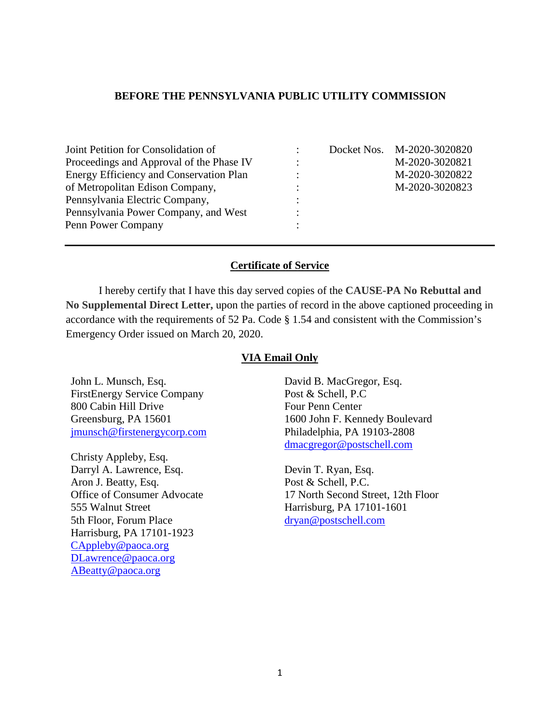### **BEFORE THE PENNSYLVANIA PUBLIC UTILITY COMMISSION**

| Joint Petition for Consolidation of            |   | Docket Nos. M-2020-3020820 |
|------------------------------------------------|---|----------------------------|
| Proceedings and Approval of the Phase IV       |   | M-2020-3020821             |
| <b>Energy Efficiency and Conservation Plan</b> | ٠ | M-2020-3020822             |
| of Metropolitan Edison Company,                | ٠ | M-2020-3020823             |
| Pennsylvania Electric Company,                 |   |                            |
| Pennsylvania Power Company, and West           |   |                            |
| Penn Power Company                             |   |                            |

### **Certificate of Service**

I hereby certify that I have this day served copies of the **CAUSE-PA No Rebuttal and No Supplemental Direct Letter,** upon the parties of record in the above captioned proceeding in accordance with the requirements of 52 Pa. Code § 1.54 and consistent with the Commission's Emergency Order issued on March 20, 2020.

#### **VIA Email Only**

John L. Munsch, Esq. FirstEnergy Service Company 800 Cabin Hill Drive Greensburg, PA 15601 [jmunsch@firstenergycorp.com](mailto:jmunsch@firstenergycorp.com)

Christy Appleby, Esq. Darryl A. Lawrence, Esq. Aron J. Beatty, Esq. Office of Consumer Advocate 555 Walnut Street 5th Floor, Forum Place Harrisburg, PA 17101-1923 [CAppleby@paoca.org](mailto:CAppleby@paoca.org) [DLawrence@paoca.org](mailto:DLawrence@paoca.org) [ABeatty@paoca.org](mailto:ABeatty@paoca.org)

David B. MacGregor, Esq. Post & Schell, P.C Four Penn Center 1600 John F. Kennedy Boulevard Philadelphia, PA 19103-2808 [dmacgregor@postschell.com](mailto:dmacgregor@postschell.com)

Devin T. Ryan, Esq. Post & Schell, P.C. 17 North Second Street, 12th Floor Harrisburg, PA 17101-1601 [dryan@postschell.com](mailto:dryan@postschell.com)